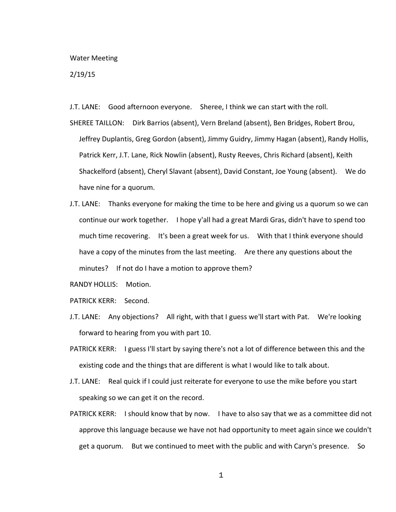## Water Meeting

## 2/19/15

J.T. LANE: Good afternoon everyone. Sheree, I think we can start with the roll.

SHEREE TAILLON: Dirk Barrios (absent), Vern Breland (absent), Ben Bridges, Robert Brou, Jeffrey Duplantis, Greg Gordon (absent), Jimmy Guidry, Jimmy Hagan (absent), Randy Hollis, Patrick Kerr, J.T. Lane, Rick Nowlin (absent), Rusty Reeves, Chris Richard (absent), Keith Shackelford (absent), Cheryl Slavant (absent), David Constant, Joe Young (absent). We do have nine for a quorum.

J.T. LANE: Thanks everyone for making the time to be here and giving us a quorum so we can continue our work together. I hope y'all had a great Mardi Gras, didn't have to spend too much time recovering. It's been a great week for us. With that I think everyone should have a copy of the minutes from the last meeting. Are there any questions about the minutes? If not do I have a motion to approve them?

RANDY HOLLIS: Motion.

PATRICK KERR: Second.

- J.T. LANE: Any objections? All right, with that I guess we'll start with Pat. We're looking forward to hearing from you with part 10.
- PATRICK KERR: I guess I'll start by saying there's not a lot of difference between this and the existing code and the things that are different is what I would like to talk about.
- J.T. LANE: Real quick if I could just reiterate for everyone to use the mike before you start speaking so we can get it on the record.
- PATRICK KERR: I should know that by now. I have to also say that we as a committee did not approve this language because we have not had opportunity to meet again since we couldn't get a quorum. But we continued to meet with the public and with Caryn's presence. So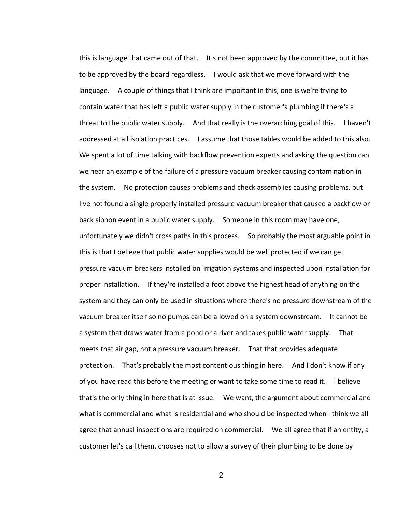this is language that came out of that. It's not been approved by the committee, but it has to be approved by the board regardless. I would ask that we move forward with the language. A couple of things that I think are important in this, one is we're trying to contain water that has left a public water supply in the customer's plumbing if there's a threat to the public water supply. And that really is the overarching goal of this. I haven't addressed at all isolation practices. I assume that those tables would be added to this also. We spent a lot of time talking with backflow prevention experts and asking the question can we hear an example of the failure of a pressure vacuum breaker causing contamination in the system. No protection causes problems and check assemblies causing problems, but I've not found a single properly installed pressure vacuum breaker that caused a backflow or back siphon event in a public water supply. Someone in this room may have one, unfortunately we didn't cross paths in this process. So probably the most arguable point in this is that I believe that public water supplies would be well protected if we can get pressure vacuum breakers installed on irrigation systems and inspected upon installation for proper installation. If they're installed a foot above the highest head of anything on the system and they can only be used in situations where there's no pressure downstream of the vacuum breaker itself so no pumps can be allowed on a system downstream. It cannot be a system that draws water from a pond or a river and takes public water supply. That meets that air gap, not a pressure vacuum breaker. That that provides adequate protection. That's probably the most contentious thing in here. And I don't know if any of you have read this before the meeting or want to take some time to read it. I believe that's the only thing in here that is at issue. We want, the argument about commercial and what is commercial and what is residential and who should be inspected when I think we all agree that annual inspections are required on commercial. We all agree that if an entity, a customer let's call them, chooses not to allow a survey of their plumbing to be done by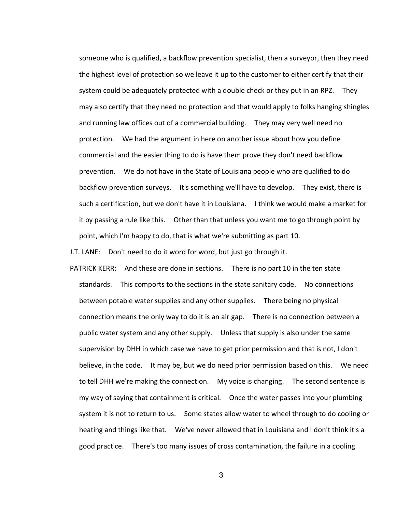someone who is qualified, a backflow prevention specialist, then a surveyor, then they need the highest level of protection so we leave it up to the customer to either certify that their system could be adequately protected with a double check or they put in an RPZ. They may also certify that they need no protection and that would apply to folks hanging shingles and running law offices out of a commercial building. They may very well need no protection. We had the argument in here on another issue about how you define commercial and the easier thing to do is have them prove they don't need backflow prevention. We do not have in the State of Louisiana people who are qualified to do backflow prevention surveys. It's something we'll have to develop. They exist, there is such a certification, but we don't have it in Louisiana. I think we would make a market for it by passing a rule like this. Other than that unless you want me to go through point by point, which I'm happy to do, that is what we're submitting as part 10.

J.T. LANE: Don't need to do it word for word, but just go through it.

PATRICK KERR: And these are done in sections. There is no part 10 in the ten state standards. This comports to the sections in the state sanitary code. No connections between potable water supplies and any other supplies. There being no physical connection means the only way to do it is an air gap. There is no connection between a public water system and any other supply. Unless that supply is also under the same supervision by DHH in which case we have to get prior permission and that is not, I don't believe, in the code. It may be, but we do need prior permission based on this. We need to tell DHH we're making the connection. My voice is changing. The second sentence is my way of saying that containment is critical. Once the water passes into your plumbing system it is not to return to us. Some states allow water to wheel through to do cooling or heating and things like that. We've never allowed that in Louisiana and I don't think it's a good practice. There's too many issues of cross contamination, the failure in a cooling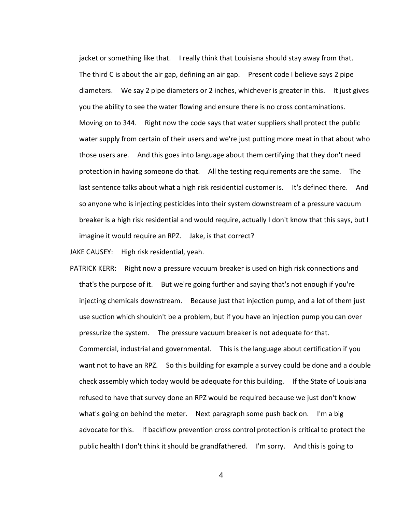jacket or something like that. I really think that Louisiana should stay away from that. The third C is about the air gap, defining an air gap. Present code I believe says 2 pipe diameters. We say 2 pipe diameters or 2 inches, whichever is greater in this. It just gives you the ability to see the water flowing and ensure there is no cross contaminations. Moving on to 344. Right now the code says that water suppliers shall protect the public water supply from certain of their users and we're just putting more meat in that about who those users are. And this goes into language about them certifying that they don't need protection in having someone do that. All the testing requirements are the same. The last sentence talks about what a high risk residential customer is. It's defined there. And so anyone who is injecting pesticides into their system downstream of a pressure vacuum breaker is a high risk residential and would require, actually I don't know that this says, but I imagine it would require an RPZ. Jake, is that correct?

JAKE CAUSEY: High risk residential, yeah.

PATRICK KERR: Right now a pressure vacuum breaker is used on high risk connections and that's the purpose of it. But we're going further and saying that's not enough if you're injecting chemicals downstream. Because just that injection pump, and a lot of them just use suction which shouldn't be a problem, but if you have an injection pump you can over pressurize the system. The pressure vacuum breaker is not adequate for that. Commercial, industrial and governmental. This is the language about certification if you want not to have an RPZ. So this building for example a survey could be done and a double check assembly which today would be adequate for this building. If the State of Louisiana refused to have that survey done an RPZ would be required because we just don't know what's going on behind the meter. Next paragraph some push back on. I'm a big advocate for this. If backflow prevention cross control protection is critical to protect the public health I don't think it should be grandfathered. I'm sorry. And this is going to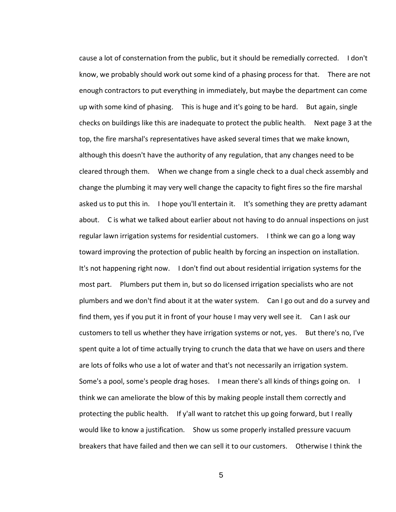cause a lot of consternation from the public, but it should be remedially corrected. I don't know, we probably should work out some kind of a phasing process for that. There are not enough contractors to put everything in immediately, but maybe the department can come up with some kind of phasing. This is huge and it's going to be hard. But again, single checks on buildings like this are inadequate to protect the public health. Next page 3 at the top, the fire marshal's representatives have asked several times that we make known, although this doesn't have the authority of any regulation, that any changes need to be cleared through them. When we change from a single check to a dual check assembly and change the plumbing it may very well change the capacity to fight fires so the fire marshal asked us to put this in. I hope you'll entertain it. It's something they are pretty adamant about. C is what we talked about earlier about not having to do annual inspections on just regular lawn irrigation systems for residential customers. I think we can go a long way toward improving the protection of public health by forcing an inspection on installation. It's not happening right now. I don't find out about residential irrigation systems for the most part. Plumbers put them in, but so do licensed irrigation specialists who are not plumbers and we don't find about it at the water system. Can I go out and do a survey and find them, yes if you put it in front of your house I may very well see it. Can I ask our customers to tell us whether they have irrigation systems or not, yes. But there's no, I've spent quite a lot of time actually trying to crunch the data that we have on users and there are lots of folks who use a lot of water and that's not necessarily an irrigation system. Some's a pool, some's people drag hoses. I mean there's all kinds of things going on. I think we can ameliorate the blow of this by making people install them correctly and protecting the public health. If y'all want to ratchet this up going forward, but I really would like to know a justification. Show us some properly installed pressure vacuum breakers that have failed and then we can sell it to our customers. Otherwise I think the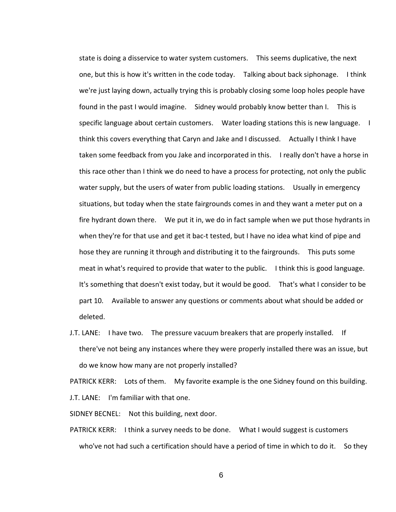state is doing a disservice to water system customers. This seems duplicative, the next one, but this is how it's written in the code today. Talking about back siphonage. I think we're just laying down, actually trying this is probably closing some loop holes people have found in the past I would imagine. Sidney would probably know better than I. This is specific language about certain customers. Water loading stations this is new language. I think this covers everything that Caryn and Jake and I discussed. Actually I think I have taken some feedback from you Jake and incorporated in this. I really don't have a horse in this race other than I think we do need to have a process for protecting, not only the public water supply, but the users of water from public loading stations. Usually in emergency situations, but today when the state fairgrounds comes in and they want a meter put on a fire hydrant down there. We put it in, we do in fact sample when we put those hydrants in when they're for that use and get it bac-t tested, but I have no idea what kind of pipe and hose they are running it through and distributing it to the fairgrounds. This puts some meat in what's required to provide that water to the public. I think this is good language. It's something that doesn't exist today, but it would be good. That's what I consider to be part 10. Available to answer any questions or comments about what should be added or deleted.

J.T. LANE: I have two. The pressure vacuum breakers that are properly installed. If there've not being any instances where they were properly installed there was an issue, but do we know how many are not properly installed?

PATRICK KERR: Lots of them. My favorite example is the one Sidney found on this building. J.T. LANE: I'm familiar with that one.

SIDNEY BECNEL: Not this building, next door.

PATRICK KERR: I think a survey needs to be done. What I would suggest is customers who've not had such a certification should have a period of time in which to do it. So they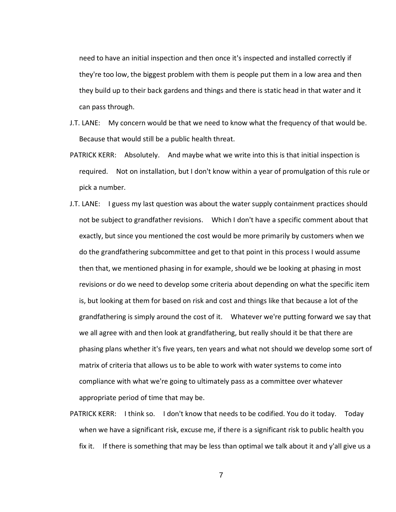need to have an initial inspection and then once it's inspected and installed correctly if they're too low, the biggest problem with them is people put them in a low area and then they build up to their back gardens and things and there is static head in that water and it can pass through.

- J.T. LANE: My concern would be that we need to know what the frequency of that would be. Because that would still be a public health threat.
- PATRICK KERR: Absolutely. And maybe what we write into this is that initial inspection is required. Not on installation, but I don't know within a year of promulgation of this rule or pick a number.
- J.T. LANE: I guess my last question was about the water supply containment practices should not be subject to grandfather revisions. Which I don't have a specific comment about that exactly, but since you mentioned the cost would be more primarily by customers when we do the grandfathering subcommittee and get to that point in this process I would assume then that, we mentioned phasing in for example, should we be looking at phasing in most revisions or do we need to develop some criteria about depending on what the specific item is, but looking at them for based on risk and cost and things like that because a lot of the grandfathering is simply around the cost of it. Whatever we're putting forward we say that we all agree with and then look at grandfathering, but really should it be that there are phasing plans whether it's five years, ten years and what not should we develop some sort of matrix of criteria that allows us to be able to work with water systems to come into compliance with what we're going to ultimately pass as a committee over whatever appropriate period of time that may be.
- PATRICK KERR: I think so. I don't know that needs to be codified. You do it today. Today when we have a significant risk, excuse me, if there is a significant risk to public health you fix it. If there is something that may be less than optimal we talk about it and y'all give us a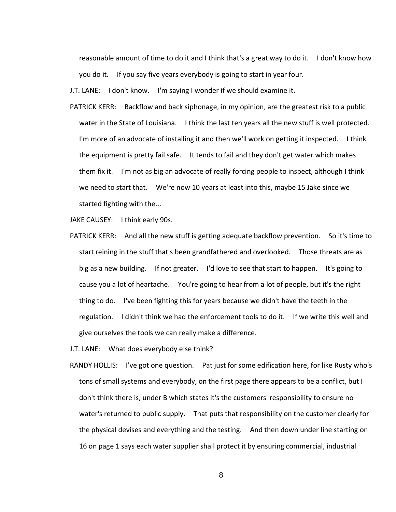reasonable amount of time to do it and I think that's a great way to do it. I don't know how you do it. If you say five years everybody is going to start in year four.

J.T. LANE: I don't know. I'm saying I wonder if we should examine it.

PATRICK KERR: Backflow and back siphonage, in my opinion, are the greatest risk to a public water in the State of Louisiana. I think the last ten years all the new stuff is well protected. I'm more of an advocate of installing it and then we'll work on getting it inspected. I think the equipment is pretty fail safe. It tends to fail and they don't get water which makes them fix it. I'm not as big an advocate of really forcing people to inspect, although I think we need to start that. We're now 10 years at least into this, maybe 15 Jake since we started fighting with the...

JAKE CAUSEY: I think early 90s.

PATRICK KERR: And all the new stuff is getting adequate backflow prevention. So it's time to start reining in the stuff that's been grandfathered and overlooked. Those threats are as big as a new building. If not greater. I'd love to see that start to happen. It's going to cause you a lot of heartache. You're going to hear from a lot of people, but it's the right thing to do. I've been fighting this for years because we didn't have the teeth in the regulation. I didn't think we had the enforcement tools to do it. If we write this well and give ourselves the tools we can really make a difference.

J.T. LANE: What does everybody else think?

RANDY HOLLIS: I've got one question. Pat just for some edification here, for like Rusty who's tons of small systems and everybody, on the first page there appears to be a conflict, but I don't think there is, under B which states it's the customers' responsibility to ensure no water's returned to public supply. That puts that responsibility on the customer clearly for the physical devises and everything and the testing. And then down under line starting on 16 on page 1 says each water supplier shall protect it by ensuring commercial, industrial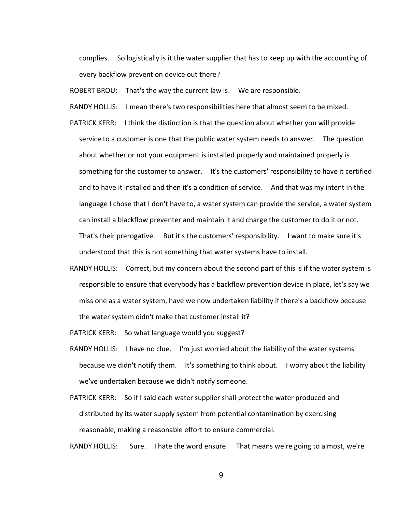complies. So logistically is it the water supplier that has to keep up with the accounting of every backflow prevention device out there?

ROBERT BROU: That's the way the current law is. We are responsible.

RANDY HOLLIS: I mean there's two responsibilities here that almost seem to be mixed.

- PATRICK KERR: I think the distinction is that the question about whether you will provide service to a customer is one that the public water system needs to answer. The question about whether or not your equipment is installed properly and maintained properly is something for the customer to answer. It's the customers' responsibility to have it certified and to have it installed and then it's a condition of service. And that was my intent in the language I chose that I don't have to, a water system can provide the service, a water system can install a blackflow preventer and maintain it and charge the customer to do it or not. That's their prerogative. But it's the customers' responsibility. I want to make sure it's understood that this is not something that water systems have to install.
- RANDY HOLLIS: Correct, but my concern about the second part of this is if the water system is responsible to ensure that everybody has a backflow prevention device in place, let's say we miss one as a water system, have we now undertaken liability if there's a backflow because the water system didn't make that customer install it?

PATRICK KERR: So what language would you suggest?

- RANDY HOLLIS: I have no clue. I'm just worried about the liability of the water systems because we didn't notify them. It's something to think about. I worry about the liability we've undertaken because we didn't notify someone.
- PATRICK KERR: So if I said each water supplier shall protect the water produced and distributed by its water supply system from potential contamination by exercising reasonable, making a reasonable effort to ensure commercial.

RANDY HOLLIS: Sure. I hate the word ensure. That means we're going to almost, we're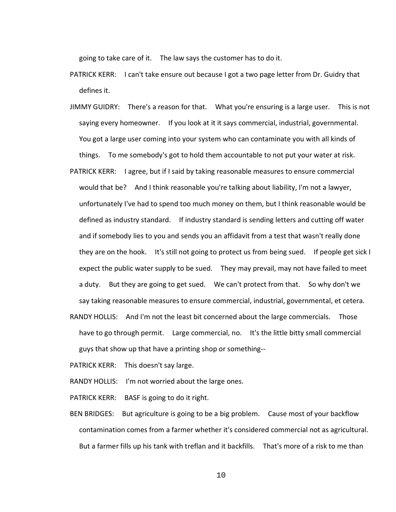going to take care of it. The law says the customer has to do it.

- PATRICK KERR: I can't take ensure out because I got a two page letter from Dr. Guidry that defines it.
- JIMMY GUIDRY: There's a reason for that. What you're ensuring is a large user. This is not saying every homeowner. If you look at it it says commercial, industrial, governmental. You got a large user coming into your system who can contaminate you with all kinds of things. To me somebody's got to hold them accountable to not put your water at risk.
- PATRICK KERR: I agree, but if I said by taking reasonable measures to ensure commercial would that be? And I think reasonable you're talking about liability, I'm not a lawyer, unfortunately I've had to spend too much money on them, but I think reasonable would be defined as industry standard. If industry standard is sending letters and cutting off water and if somebody lies to you and sends you an affidavit from a test that wasn't really done they are on the hook. It's still not going to protect us from being sued. If people get sick I expect the public water supply to be sued. They may prevail, may not have failed to meet a duty. But they are going to get sued. We can't protect from that. So why don't we say taking reasonable measures to ensure commercial, industrial, governmental, et cetera.
- RANDY HOLLIS: And I'm not the least bit concerned about the large commercials. Those have to go through permit. Large commercial, no. It's the little bitty small commercial guys that show up that have a printing shop or something--

PATRICK KERR: This doesn't say large.

RANDY HOLLIS: I'm not worried about the large ones.

PATRICK KERR: BASF is going to do it right.

BEN BRIDGES: But agriculture is going to be a big problem. Cause most of your backflow contamination comes from a farmer whether it's considered commercial not as agricultural. But a farmer fills up his tank with treflan and it backfills. That's more of a risk to me than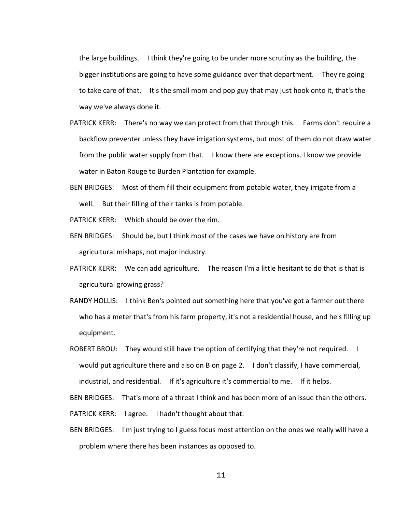the large buildings. I think they're going to be under more scrutiny as the building, the bigger institutions are going to have some guidance over that department. They're going to take care of that. It's the small mom and pop guy that may just hook onto it, that's the way we've always done it.

- PATRICK KERR: There's no way we can protect from that through this. Farms don't require a backflow preventer unless they have irrigation systems, but most of them do not draw water from the public water supply from that. I know there are exceptions. I know we provide water in Baton Rouge to Burden Plantation for example.
- BEN BRIDGES: Most of them fill their equipment from potable water, they irrigate from a well. But their filling of their tanks is from potable.
- PATRICK KERR: Which should be over the rim.
- BEN BRIDGES: Should be, but I think most of the cases we have on history are from agricultural mishaps, not major industry.
- PATRICK KERR: We can add agriculture. The reason I'm a little hesitant to do that is that is agricultural growing grass?
- RANDY HOLLIS: I think Ben's pointed out something here that you've got a farmer out there who has a meter that's from his farm property, it's not a residential house, and he's filling up equipment.
- ROBERT BROU: They would still have the option of certifying that they're not required. I would put agriculture there and also on B on page 2. I don't classify, I have commercial, industrial, and residential. If it's agriculture it's commercial to me. If it helps.

BEN BRIDGES: That's more of a threat I think and has been more of an issue than the others.

PATRICK KERR: I agree. I hadn't thought about that.

BEN BRIDGES: I'm just trying to I guess focus most attention on the ones we really will have a problem where there has been instances as opposed to.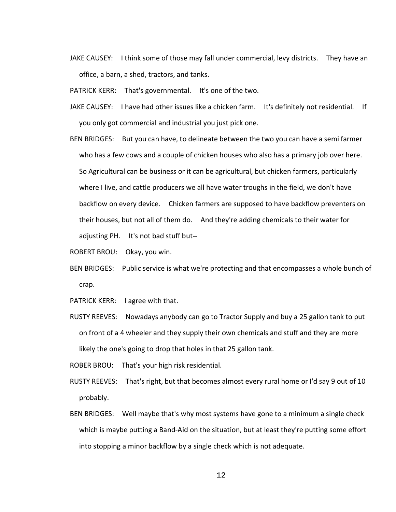JAKE CAUSEY: I think some of those may fall under commercial, levy districts. They have an office, a barn, a shed, tractors, and tanks.

PATRICK KERR: That's governmental. It's one of the two.

- JAKE CAUSEY: I have had other issues like a chicken farm. It's definitely not residential. If you only got commercial and industrial you just pick one.
- BEN BRIDGES: But you can have, to delineate between the two you can have a semi farmer who has a few cows and a couple of chicken houses who also has a primary job over here. So Agricultural can be business or it can be agricultural, but chicken farmers, particularly where I live, and cattle producers we all have water troughs in the field, we don't have backflow on every device. Chicken farmers are supposed to have backflow preventers on their houses, but not all of them do. And they're adding chemicals to their water for adjusting PH. It's not bad stuff but--

ROBERT BROU: Okay, you win.

- BEN BRIDGES: Public service is what we're protecting and that encompasses a whole bunch of crap.
- PATRICK KERR: I agree with that.
- RUSTY REEVES: Nowadays anybody can go to Tractor Supply and buy a 25 gallon tank to put on front of a 4 wheeler and they supply their own chemicals and stuff and they are more likely the one's going to drop that holes in that 25 gallon tank.
- ROBER BROU: That's your high risk residential.
- RUSTY REEVES: That's right, but that becomes almost every rural home or I'd say 9 out of 10 probably.
- BEN BRIDGES: Well maybe that's why most systems have gone to a minimum a single check which is maybe putting a Band-Aid on the situation, but at least they're putting some effort into stopping a minor backflow by a single check which is not adequate.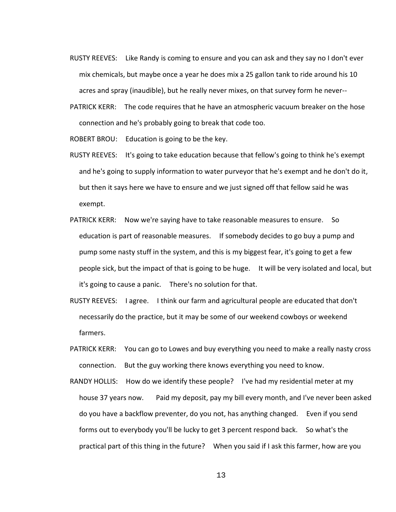- RUSTY REEVES: Like Randy is coming to ensure and you can ask and they say no I don't ever mix chemicals, but maybe once a year he does mix a 25 gallon tank to ride around his 10 acres and spray (inaudible), but he really never mixes, on that survey form he never--
- PATRICK KERR: The code requires that he have an atmospheric vacuum breaker on the hose connection and he's probably going to break that code too.

ROBERT BROU: Education is going to be the key.

- RUSTY REEVES: It's going to take education because that fellow's going to think he's exempt and he's going to supply information to water purveyor that he's exempt and he don't do it, but then it says here we have to ensure and we just signed off that fellow said he was exempt.
- PATRICK KERR: Now we're saying have to take reasonable measures to ensure. So education is part of reasonable measures. If somebody decides to go buy a pump and pump some nasty stuff in the system, and this is my biggest fear, it's going to get a few people sick, but the impact of that is going to be huge. It will be very isolated and local, but it's going to cause a panic. There's no solution for that.
- RUSTY REEVES: I agree. I think our farm and agricultural people are educated that don't necessarily do the practice, but it may be some of our weekend cowboys or weekend farmers.
- PATRICK KERR: You can go to Lowes and buy everything you need to make a really nasty cross connection. But the guy working there knows everything you need to know.
- RANDY HOLLIS: How do we identify these people? I've had my residential meter at my house 37 years now. Paid my deposit, pay my bill every month, and I've never been asked do you have a backflow preventer, do you not, has anything changed. Even if you send forms out to everybody you'll be lucky to get 3 percent respond back. So what's the practical part of this thing in the future? When you said if I ask this farmer, how are you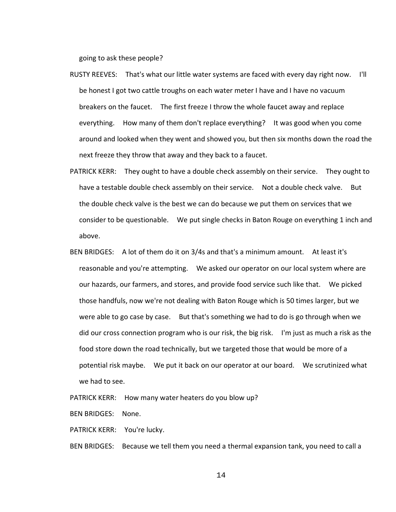going to ask these people?

- RUSTY REEVES: That's what our little water systems are faced with every day right now. I'll be honest I got two cattle troughs on each water meter I have and I have no vacuum breakers on the faucet. The first freeze I throw the whole faucet away and replace everything. How many of them don't replace everything? It was good when you come around and looked when they went and showed you, but then six months down the road the next freeze they throw that away and they back to a faucet.
- PATRICK KERR: They ought to have a double check assembly on their service. They ought to have a testable double check assembly on their service. Not a double check valve. But the double check valve is the best we can do because we put them on services that we consider to be questionable. We put single checks in Baton Rouge on everything 1 inch and above.
- BEN BRIDGES: A lot of them do it on 3/4s and that's a minimum amount. At least it's reasonable and you're attempting. We asked our operator on our local system where are our hazards, our farmers, and stores, and provide food service such like that. We picked those handfuls, now we're not dealing with Baton Rouge which is 50 times larger, but we were able to go case by case. But that's something we had to do is go through when we did our cross connection program who is our risk, the big risk. I'm just as much a risk as the food store down the road technically, but we targeted those that would be more of a potential risk maybe. We put it back on our operator at our board. We scrutinized what we had to see.

PATRICK KERR: How many water heaters do you blow up?

BEN BRIDGES: None.

PATRICK KERR: You're lucky.

BEN BRIDGES: Because we tell them you need a thermal expansion tank, you need to call a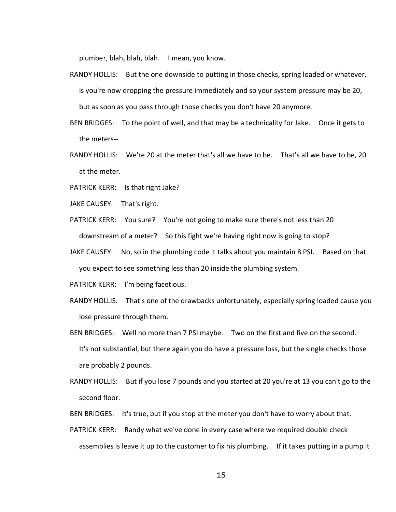plumber, blah, blah, blah. I mean, you know.

- RANDY HOLLIS: But the one downside to putting in those checks, spring loaded or whatever, is you're now dropping the pressure immediately and so your system pressure may be 20, but as soon as you pass through those checks you don't have 20 anymore.
- BEN BRIDGES: To the point of well, and that may be a technicality for Jake. Once it gets to the meters--
- RANDY HOLLIS: We're 20 at the meter that's all we have to be. That's all we have to be, 20 at the meter.
- PATRICK KERR: Is that right Jake?
- JAKE CAUSEY: That's right.
- PATRICK KERR: You sure? You're not going to make sure there's not less than 20 downstream of a meter? So this fight we're having right now is going to stop?
- JAKE CAUSEY: No, so in the plumbing code it talks about you maintain 8 PSI. Based on that you expect to see something less than 20 inside the plumbing system.

PATRICK KERR: I'm being facetious.

- RANDY HOLLIS: That's one of the drawbacks unfortunately, especially spring loaded cause you lose pressure through them.
- BEN BRIDGES: Well no more than 7 PSI maybe. Two on the first and five on the second. It's not substantial, but there again you do have a pressure loss, but the single checks those are probably 2 pounds.
- RANDY HOLLIS: But if you lose 7 pounds and you started at 20 you're at 13 you can't go to the second floor.

BEN BRIDGES: It's true, but if you stop at the meter you don't have to worry about that.

PATRICK KERR: Randy what we've done in every case where we required double check assemblies is leave it up to the customer to fix his plumbing. If it takes putting in a pump it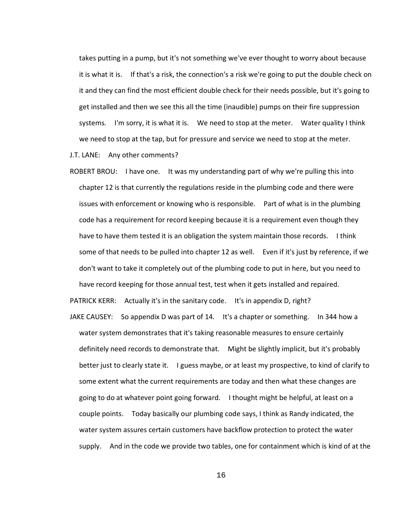takes putting in a pump, but it's not something we've ever thought to worry about because it is what it is. If that's a risk, the connection's a risk we're going to put the double check on it and they can find the most efficient double check for their needs possible, but it's going to get installed and then we see this all the time (inaudible) pumps on their fire suppression systems. I'm sorry, it is what it is. We need to stop at the meter. Water quality I think we need to stop at the tap, but for pressure and service we need to stop at the meter.

J.T. LANE: Any other comments?

ROBERT BROU: I have one. It was my understanding part of why we're pulling this into chapter 12 is that currently the regulations reside in the plumbing code and there were issues with enforcement or knowing who is responsible. Part of what is in the plumbing code has a requirement for record keeping because it is a requirement even though they have to have them tested it is an obligation the system maintain those records. I think some of that needs to be pulled into chapter 12 as well. Even if it's just by reference, if we don't want to take it completely out of the plumbing code to put in here, but you need to have record keeping for those annual test, test when it gets installed and repaired.

PATRICK KERR: Actually it's in the sanitary code. It's in appendix D, right?

JAKE CAUSEY: So appendix D was part of 14. It's a chapter or something. In 344 how a water system demonstrates that it's taking reasonable measures to ensure certainly definitely need records to demonstrate that. Might be slightly implicit, but it's probably better just to clearly state it. I guess maybe, or at least my prospective, to kind of clarify to some extent what the current requirements are today and then what these changes are going to do at whatever point going forward. I thought might be helpful, at least on a couple points. Today basically our plumbing code says, I think as Randy indicated, the water system assures certain customers have backflow protection to protect the water supply. And in the code we provide two tables, one for containment which is kind of at the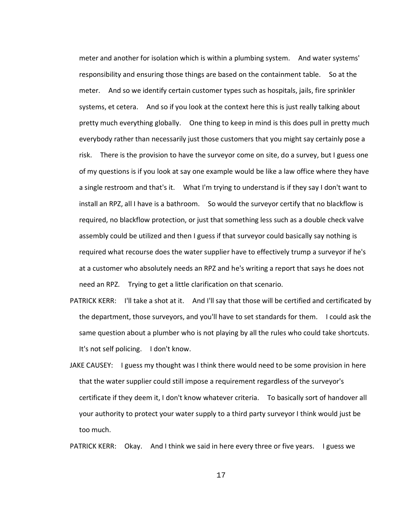meter and another for isolation which is within a plumbing system. And water systems' responsibility and ensuring those things are based on the containment table. So at the meter. And so we identify certain customer types such as hospitals, jails, fire sprinkler systems, et cetera. And so if you look at the context here this is just really talking about pretty much everything globally. One thing to keep in mind is this does pull in pretty much everybody rather than necessarily just those customers that you might say certainly pose a risk. There is the provision to have the surveyor come on site, do a survey, but I guess one of my questions is if you look at say one example would be like a law office where they have a single restroom and that's it. What I'm trying to understand is if they say I don't want to install an RPZ, all I have is a bathroom. So would the surveyor certify that no blackflow is required, no blackflow protection, or just that something less such as a double check valve assembly could be utilized and then I guess if that surveyor could basically say nothing is required what recourse does the water supplier have to effectively trump a surveyor if he's at a customer who absolutely needs an RPZ and he's writing a report that says he does not need an RPZ. Trying to get a little clarification on that scenario.

- PATRICK KERR: I'll take a shot at it. And I'll say that those will be certified and certificated by the department, those surveyors, and you'll have to set standards for them. I could ask the same question about a plumber who is not playing by all the rules who could take shortcuts. It's not self policing. I don't know.
- JAKE CAUSEY: I guess my thought was I think there would need to be some provision in here that the water supplier could still impose a requirement regardless of the surveyor's certificate if they deem it, I don't know whatever criteria. To basically sort of handover all your authority to protect your water supply to a third party surveyor I think would just be too much.

PATRICK KERR: Okay. And I think we said in here every three or five years. I guess we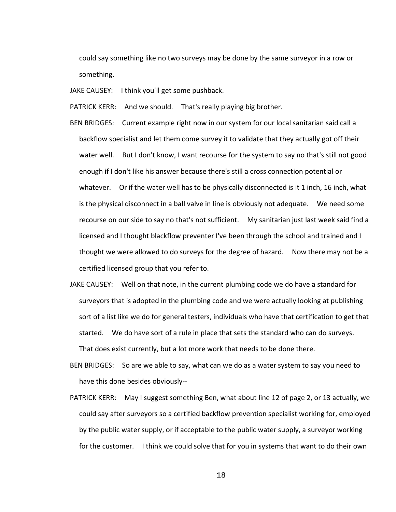could say something like no two surveys may be done by the same surveyor in a row or something.

JAKE CAUSEY: I think you'll get some pushback.

PATRICK KERR: And we should. That's really playing big brother.

- BEN BRIDGES: Current example right now in our system for our local sanitarian said call a backflow specialist and let them come survey it to validate that they actually got off their water well. But I don't know, I want recourse for the system to say no that's still not good enough if I don't like his answer because there's still a cross connection potential or whatever. Or if the water well has to be physically disconnected is it 1 inch, 16 inch, what is the physical disconnect in a ball valve in line is obviously not adequate. We need some recourse on our side to say no that's not sufficient. My sanitarian just last week said find a licensed and I thought blackflow preventer I've been through the school and trained and I thought we were allowed to do surveys for the degree of hazard. Now there may not be a certified licensed group that you refer to.
- JAKE CAUSEY: Well on that note, in the current plumbing code we do have a standard for surveyors that is adopted in the plumbing code and we were actually looking at publishing sort of a list like we do for general testers, individuals who have that certification to get that started. We do have sort of a rule in place that sets the standard who can do surveys. That does exist currently, but a lot more work that needs to be done there.
- BEN BRIDGES: So are we able to say, what can we do as a water system to say you need to have this done besides obviously--
- PATRICK KERR: May I suggest something Ben, what about line 12 of page 2, or 13 actually, we could say after surveyors so a certified backflow prevention specialist working for, employed by the public water supply, or if acceptable to the public water supply, a surveyor working for the customer. I think we could solve that for you in systems that want to do their own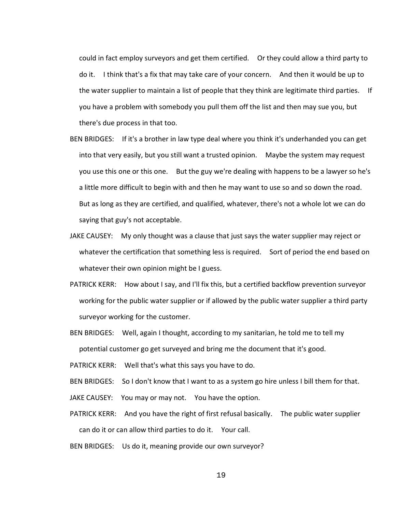could in fact employ surveyors and get them certified. Or they could allow a third party to do it. I think that's a fix that may take care of your concern. And then it would be up to the water supplier to maintain a list of people that they think are legitimate third parties. If you have a problem with somebody you pull them off the list and then may sue you, but there's due process in that too.

- BEN BRIDGES: If it's a brother in law type deal where you think it's underhanded you can get into that very easily, but you still want a trusted opinion. Maybe the system may request you use this one or this one. But the guy we're dealing with happens to be a lawyer so he's a little more difficult to begin with and then he may want to use so and so down the road. But as long as they are certified, and qualified, whatever, there's not a whole lot we can do saying that guy's not acceptable.
- JAKE CAUSEY: My only thought was a clause that just says the water supplier may reject or whatever the certification that something less is required. Sort of period the end based on whatever their own opinion might be I guess.
- PATRICK KERR: How about I say, and I'll fix this, but a certified backflow prevention surveyor working for the public water supplier or if allowed by the public water supplier a third party surveyor working for the customer.
- BEN BRIDGES: Well, again I thought, according to my sanitarian, he told me to tell my potential customer go get surveyed and bring me the document that it's good.

PATRICK KERR: Well that's what this says you have to do.

BEN BRIDGES: So I don't know that I want to as a system go hire unless I bill them for that.

JAKE CAUSEY: You may or may not. You have the option.

PATRICK KERR: And you have the right of first refusal basically. The public water supplier can do it or can allow third parties to do it. Your call.

BEN BRIDGES: Us do it, meaning provide our own surveyor?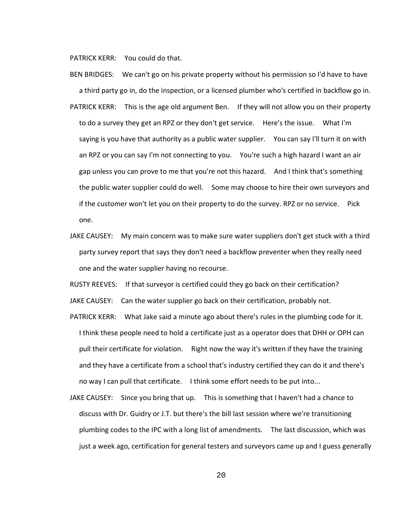PATRICK KERR: You could do that.

BEN BRIDGES: We can't go on his private property without his permission so I'd have to have a third party go in, do the inspection, or a licensed plumber who's certified in backflow go in. PATRICK KERR: This is the age old argument Ben. If they will not allow you on their property to do a survey they get an RPZ or they don't get service. Here's the issue. What I'm saying is you have that authority as a public water supplier. You can say I'll turn it on with an RPZ or you can say I'm not connecting to you. You're such a high hazard I want an air gap unless you can prove to me that you're not this hazard. And I think that's something the public water supplier could do well. Some may choose to hire their own surveyors and if the customer won't let you on their property to do the survey. RPZ or no service. Pick one.

JAKE CAUSEY: My main concern was to make sure water suppliers don't get stuck with a third party survey report that says they don't need a backflow preventer when they really need one and the water supplier having no recourse.

RUSTY REEVES: If that surveyor is certified could they go back on their certification?

JAKE CAUSEY: Can the water supplier go back on their certification, probably not.

- PATRICK KERR: What Jake said a minute ago about there's rules in the plumbing code for it. I think these people need to hold a certificate just as a operator does that DHH or OPH can pull their certificate for violation. Right now the way it's written if they have the training and they have a certificate from a school that's industry certified they can do it and there's no way I can pull that certificate. I think some effort needs to be put into...
- JAKE CAUSEY: Since you bring that up. This is something that I haven't had a chance to discuss with Dr. Guidry or J.T. but there's the bill last session where we're transitioning plumbing codes to the IPC with a long list of amendments. The last discussion, which was just a week ago, certification for general testers and surveyors came up and I guess generally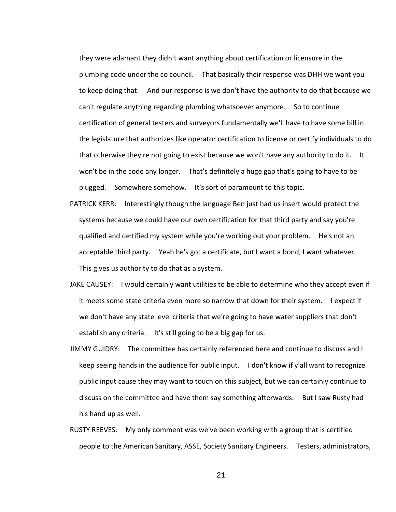they were adamant they didn't want anything about certification or licensure in the plumbing code under the co council. That basically their response was DHH we want you to keep doing that. And our response is we don't have the authority to do that because we can't regulate anything regarding plumbing whatsoever anymore. So to continue certification of general testers and surveyors fundamentally we'll have to have some bill in the legislature that authorizes like operator certification to license or certify individuals to do that otherwise they're not going to exist because we won't have any authority to do it. It won't be in the code any longer. That's definitely a huge gap that's going to have to be plugged. Somewhere somehow. It's sort of paramount to this topic.

- PATRICK KERR: Interestingly though the language Ben just had us insert would protect the systems because we could have our own certification for that third party and say you're qualified and certified my system while you're working out your problem. He's not an acceptable third party. Yeah he's got a certificate, but I want a bond, I want whatever. This gives us authority to do that as a system.
- JAKE CAUSEY: I would certainly want utilities to be able to determine who they accept even if it meets some state criteria even more so narrow that down for their system. I expect if we don't have any state level criteria that we're going to have water suppliers that don't establish any criteria. It's still going to be a big gap for us.
- JIMMY GUIDRY: The committee has certainly referenced here and continue to discuss and I keep seeing hands in the audience for public input. I don't know if y'all want to recognize public input cause they may want to touch on this subject, but we can certainly continue to discuss on the committee and have them say something afterwards. But I saw Rusty had his hand up as well.
- RUSTY REEVES: My only comment was we've been working with a group that is certified people to the American Sanitary, ASSE, Society Sanitary Engineers. Testers, administrators,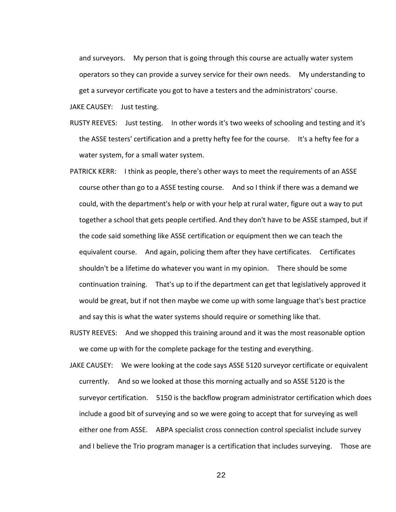and surveyors. My person that is going through this course are actually water system operators so they can provide a survey service for their own needs. My understanding to get a surveyor certificate you got to have a testers and the administrators' course.

JAKE CAUSEY: Just testing.

- RUSTY REEVES: Just testing. In other words it's two weeks of schooling and testing and it's the ASSE testers' certification and a pretty hefty fee for the course. It's a hefty fee for a water system, for a small water system.
- PATRICK KERR: I think as people, there's other ways to meet the requirements of an ASSE course other than go to a ASSE testing course. And so I think if there was a demand we could, with the department's help or with your help at rural water, figure out a way to put together a school that gets people certified. And they don't have to be ASSE stamped, but if the code said something like ASSE certification or equipment then we can teach the equivalent course. And again, policing them after they have certificates. Certificates shouldn't be a lifetime do whatever you want in my opinion. There should be some continuation training. That's up to if the department can get that legislatively approved it would be great, but if not then maybe we come up with some language that's best practice and say this is what the water systems should require or something like that.
- RUSTY REEVES: And we shopped this training around and it was the most reasonable option we come up with for the complete package for the testing and everything.
- JAKE CAUSEY: We were looking at the code says ASSE 5120 surveyor certificate or equivalent currently. And so we looked at those this morning actually and so ASSE 5120 is the surveyor certification. 5150 is the backflow program administrator certification which does include a good bit of surveying and so we were going to accept that for surveying as well either one from ASSE. ABPA specialist cross connection control specialist include survey and I believe the Trio program manager is a certification that includes surveying. Those are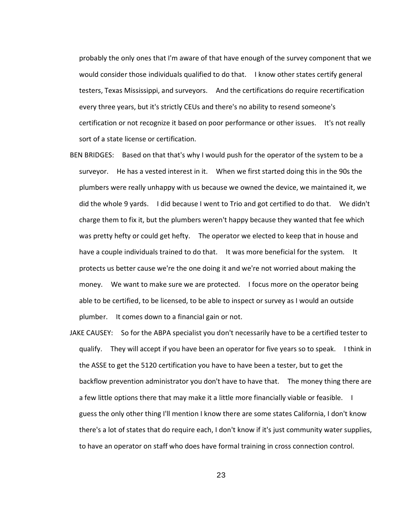probably the only ones that I'm aware of that have enough of the survey component that we would consider those individuals qualified to do that. I know other states certify general testers, Texas Mississippi, and surveyors. And the certifications do require recertification every three years, but it's strictly CEUs and there's no ability to resend someone's certification or not recognize it based on poor performance or other issues. It's not really sort of a state license or certification.

- BEN BRIDGES: Based on that that's why I would push for the operator of the system to be a surveyor. He has a vested interest in it. When we first started doing this in the 90s the plumbers were really unhappy with us because we owned the device, we maintained it, we did the whole 9 yards. I did because I went to Trio and got certified to do that. We didn't charge them to fix it, but the plumbers weren't happy because they wanted that fee which was pretty hefty or could get hefty. The operator we elected to keep that in house and have a couple individuals trained to do that. It was more beneficial for the system. It protects us better cause we're the one doing it and we're not worried about making the money. We want to make sure we are protected. I focus more on the operator being able to be certified, to be licensed, to be able to inspect or survey as I would an outside plumber. It comes down to a financial gain or not.
- JAKE CAUSEY: So for the ABPA specialist you don't necessarily have to be a certified tester to qualify. They will accept if you have been an operator for five years so to speak. I think in the ASSE to get the 5120 certification you have to have been a tester, but to get the backflow prevention administrator you don't have to have that. The money thing there are a few little options there that may make it a little more financially viable or feasible. I guess the only other thing I'll mention I know there are some states California, I don't know there's a lot of states that do require each, I don't know if it's just community water supplies, to have an operator on staff who does have formal training in cross connection control.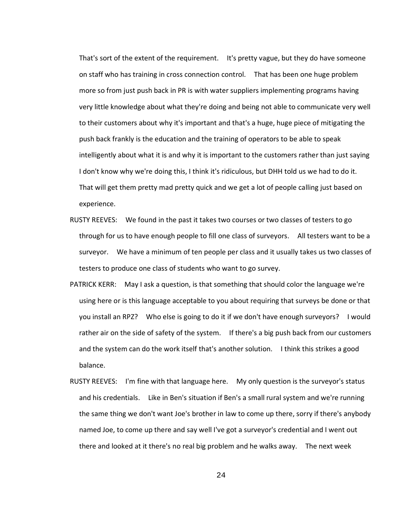That's sort of the extent of the requirement. It's pretty vague, but they do have someone on staff who has training in cross connection control. That has been one huge problem more so from just push back in PR is with water suppliers implementing programs having very little knowledge about what they're doing and being not able to communicate very well to their customers about why it's important and that's a huge, huge piece of mitigating the push back frankly is the education and the training of operators to be able to speak intelligently about what it is and why it is important to the customers rather than just saying I don't know why we're doing this, I think it's ridiculous, but DHH told us we had to do it. That will get them pretty mad pretty quick and we get a lot of people calling just based on experience.

- RUSTY REEVES: We found in the past it takes two courses or two classes of testers to go through for us to have enough people to fill one class of surveyors. All testers want to be a surveyor. We have a minimum of ten people per class and it usually takes us two classes of testers to produce one class of students who want to go survey.
- PATRICK KERR: May I ask a question, is that something that should color the language we're using here or is this language acceptable to you about requiring that surveys be done or that you install an RPZ? Who else is going to do it if we don't have enough surveyors? I would rather air on the side of safety of the system. If there's a big push back from our customers and the system can do the work itself that's another solution. I think this strikes a good balance.
- RUSTY REEVES: I'm fine with that language here. My only question is the surveyor's status and his credentials. Like in Ben's situation if Ben's a small rural system and we're running the same thing we don't want Joe's brother in law to come up there, sorry if there's anybody named Joe, to come up there and say well I've got a surveyor's credential and I went out there and looked at it there's no real big problem and he walks away. The next week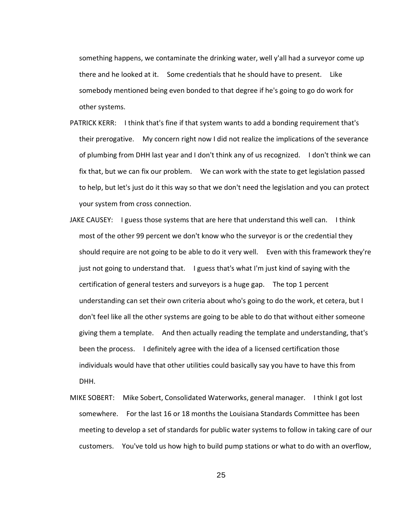something happens, we contaminate the drinking water, well y'all had a surveyor come up there and he looked at it. Some credentials that he should have to present. Like somebody mentioned being even bonded to that degree if he's going to go do work for other systems.

- PATRICK KERR: I think that's fine if that system wants to add a bonding requirement that's their prerogative. My concern right now I did not realize the implications of the severance of plumbing from DHH last year and I don't think any of us recognized. I don't think we can fix that, but we can fix our problem. We can work with the state to get legislation passed to help, but let's just do it this way so that we don't need the legislation and you can protect your system from cross connection.
- JAKE CAUSEY: I guess those systems that are here that understand this well can. I think most of the other 99 percent we don't know who the surveyor is or the credential they should require are not going to be able to do it very well. Even with this framework they're just not going to understand that. I guess that's what I'm just kind of saying with the certification of general testers and surveyors is a huge gap. The top 1 percent understanding can set their own criteria about who's going to do the work, et cetera, but I don't feel like all the other systems are going to be able to do that without either someone giving them a template. And then actually reading the template and understanding, that's been the process. I definitely agree with the idea of a licensed certification those individuals would have that other utilities could basically say you have to have this from DHH.
- MIKE SOBERT: Mike Sobert, Consolidated Waterworks, general manager. I think I got lost somewhere. For the last 16 or 18 months the Louisiana Standards Committee has been meeting to develop a set of standards for public water systems to follow in taking care of our customers. You've told us how high to build pump stations or what to do with an overflow,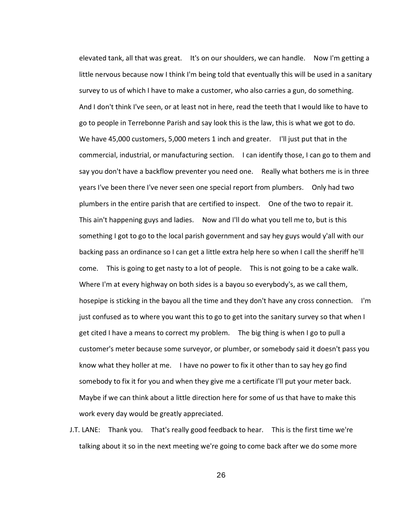elevated tank, all that was great. It's on our shoulders, we can handle. Now I'm getting a little nervous because now I think I'm being told that eventually this will be used in a sanitary survey to us of which I have to make a customer, who also carries a gun, do something. And I don't think I've seen, or at least not in here, read the teeth that I would like to have to go to people in Terrebonne Parish and say look this is the law, this is what we got to do. We have 45,000 customers, 5,000 meters 1 inch and greater. I'll just put that in the commercial, industrial, or manufacturing section. I can identify those, I can go to them and say you don't have a backflow preventer you need one. Really what bothers me is in three years I've been there I've never seen one special report from plumbers. Only had two plumbers in the entire parish that are certified to inspect. One of the two to repair it. This ain't happening guys and ladies. Now and I'll do what you tell me to, but is this something I got to go to the local parish government and say hey guys would y'all with our backing pass an ordinance so I can get a little extra help here so when I call the sheriff he'll come. This is going to get nasty to a lot of people. This is not going to be a cake walk. Where I'm at every highway on both sides is a bayou so everybody's, as we call them, hosepipe is sticking in the bayou all the time and they don't have any cross connection. I'm just confused as to where you want this to go to get into the sanitary survey so that when I get cited I have a means to correct my problem. The big thing is when I go to pull a customer's meter because some surveyor, or plumber, or somebody said it doesn't pass you know what they holler at me. I have no power to fix it other than to say hey go find somebody to fix it for you and when they give me a certificate I'll put your meter back. Maybe if we can think about a little direction here for some of us that have to make this work every day would be greatly appreciated.

J.T. LANE: Thank you. That's really good feedback to hear. This is the first time we're talking about it so in the next meeting we're going to come back after we do some more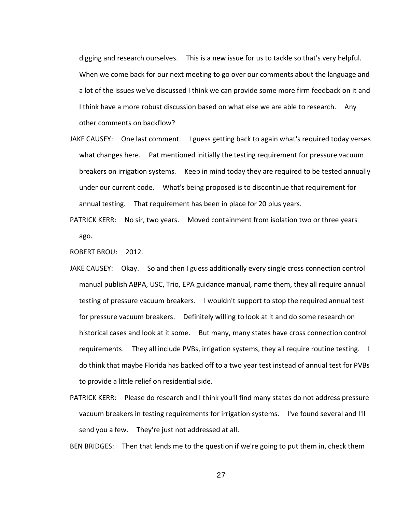digging and research ourselves. This is a new issue for us to tackle so that's very helpful. When we come back for our next meeting to go over our comments about the language and a lot of the issues we've discussed I think we can provide some more firm feedback on it and I think have a more robust discussion based on what else we are able to research. Any other comments on backflow?

- JAKE CAUSEY: One last comment. I guess getting back to again what's required today verses what changes here. Pat mentioned initially the testing requirement for pressure vacuum breakers on irrigation systems. Keep in mind today they are required to be tested annually under our current code. What's being proposed is to discontinue that requirement for annual testing. That requirement has been in place for 20 plus years.
- PATRICK KERR: No sir, two years. Moved containment from isolation two or three years ago.

ROBERT BROU: 2012.

- JAKE CAUSEY: Okay. So and then I guess additionally every single cross connection control manual publish ABPA, USC, Trio, EPA guidance manual, name them, they all require annual testing of pressure vacuum breakers. I wouldn't support to stop the required annual test for pressure vacuum breakers. Definitely willing to look at it and do some research on historical cases and look at it some. But many, many states have cross connection control requirements. They all include PVBs, irrigation systems, they all require routine testing. I do think that maybe Florida has backed off to a two year test instead of annual test for PVBs to provide a little relief on residential side.
- PATRICK KERR: Please do research and I think you'll find many states do not address pressure vacuum breakers in testing requirements for irrigation systems. I've found several and I'll send you a few. They're just not addressed at all.

BEN BRIDGES: Then that lends me to the question if we're going to put them in, check them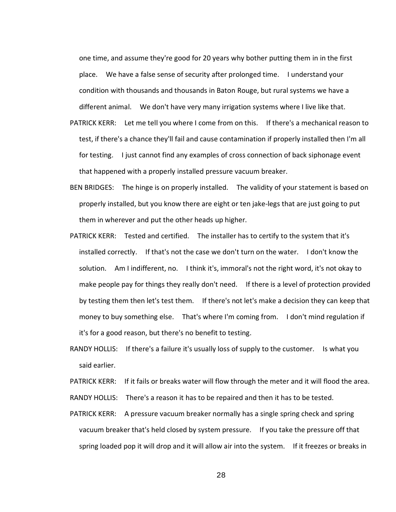one time, and assume they're good for 20 years why bother putting them in in the first place. We have a false sense of security after prolonged time. I understand your condition with thousands and thousands in Baton Rouge, but rural systems we have a different animal. We don't have very many irrigation systems where I live like that.

- PATRICK KERR: Let me tell you where I come from on this. If there's a mechanical reason to test, if there's a chance they'll fail and cause contamination if properly installed then I'm all for testing. I just cannot find any examples of cross connection of back siphonage event that happened with a properly installed pressure vacuum breaker.
- BEN BRIDGES: The hinge is on properly installed. The validity of your statement is based on properly installed, but you know there are eight or ten jake-legs that are just going to put them in wherever and put the other heads up higher.
- PATRICK KERR: Tested and certified. The installer has to certify to the system that it's installed correctly. If that's not the case we don't turn on the water. I don't know the solution. Am I indifferent, no. I think it's, immoral's not the right word, it's not okay to make people pay for things they really don't need. If there is a level of protection provided by testing them then let's test them. If there's not let's make a decision they can keep that money to buy something else. That's where I'm coming from. I don't mind regulation if it's for a good reason, but there's no benefit to testing.
- RANDY HOLLIS: If there's a failure it's usually loss of supply to the customer. Is what you said earlier.

PATRICK KERR: If it fails or breaks water will flow through the meter and it will flood the area. RANDY HOLLIS: There's a reason it has to be repaired and then it has to be tested.

PATRICK KERR: A pressure vacuum breaker normally has a single spring check and spring vacuum breaker that's held closed by system pressure. If you take the pressure off that spring loaded pop it will drop and it will allow air into the system. If it freezes or breaks in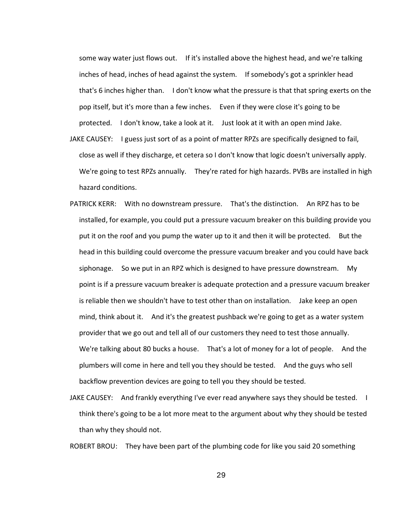some way water just flows out. If it's installed above the highest head, and we're talking inches of head, inches of head against the system. If somebody's got a sprinkler head that's 6 inches higher than. I don't know what the pressure is that that spring exerts on the pop itself, but it's more than a few inches. Even if they were close it's going to be protected. I don't know, take a look at it. Just look at it with an open mind Jake.

- JAKE CAUSEY: I guess just sort of as a point of matter RPZs are specifically designed to fail, close as well if they discharge, et cetera so I don't know that logic doesn't universally apply. We're going to test RPZs annually. They're rated for high hazards. PVBs are installed in high hazard conditions.
- PATRICK KERR: With no downstream pressure. That's the distinction. An RPZ has to be installed, for example, you could put a pressure vacuum breaker on this building provide you put it on the roof and you pump the water up to it and then it will be protected. But the head in this building could overcome the pressure vacuum breaker and you could have back siphonage. So we put in an RPZ which is designed to have pressure downstream. My point is if a pressure vacuum breaker is adequate protection and a pressure vacuum breaker is reliable then we shouldn't have to test other than on installation. Jake keep an open mind, think about it. And it's the greatest pushback we're going to get as a water system provider that we go out and tell all of our customers they need to test those annually. We're talking about 80 bucks a house. That's a lot of money for a lot of people. And the plumbers will come in here and tell you they should be tested. And the guys who sell backflow prevention devices are going to tell you they should be tested.
- JAKE CAUSEY: And frankly everything I've ever read anywhere says they should be tested. I think there's going to be a lot more meat to the argument about why they should be tested than why they should not.

ROBERT BROU: They have been part of the plumbing code for like you said 20 something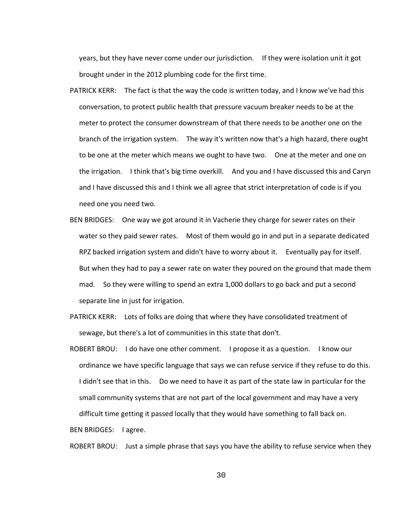years, but they have never come under our jurisdiction. If they were isolation unit it got brought under in the 2012 plumbing code for the first time.

- PATRICK KERR: The fact is that the way the code is written today, and I know we've had this conversation, to protect public health that pressure vacuum breaker needs to be at the meter to protect the consumer downstream of that there needs to be another one on the branch of the irrigation system. The way it's written now that's a high hazard, there ought to be one at the meter which means we ought to have two. One at the meter and one on the irrigation. I think that's big time overkill. And you and I have discussed this and Caryn and I have discussed this and I think we all agree that strict interpretation of code is if you need one you need two.
- BEN BRIDGES: One way we got around it in Vacherie they charge for sewer rates on their water so they paid sewer rates. Most of them would go in and put in a separate dedicated RPZ backed irrigation system and didn't have to worry about it. Eventually pay for itself. But when they had to pay a sewer rate on water they poured on the ground that made them mad. So they were willing to spend an extra 1,000 dollars to go back and put a second separate line in just for irrigation.
- PATRICK KERR: Lots of folks are doing that where they have consolidated treatment of sewage, but there's a lot of communities in this state that don't.
- ROBERT BROU: I do have one other comment. I propose it as a question. I know our ordinance we have specific language that says we can refuse service if they refuse to do this. I didn't see that in this. Do we need to have it as part of the state law in particular for the small community systems that are not part of the local government and may have a very difficult time getting it passed locally that they would have something to fall back on.

BEN BRIDGES: I agree.

ROBERT BROU: Just a simple phrase that says you have the ability to refuse service when they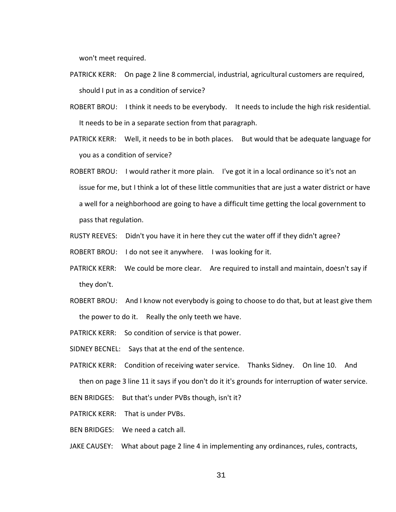won't meet required.

- PATRICK KERR: On page 2 line 8 commercial, industrial, agricultural customers are required, should I put in as a condition of service?
- ROBERT BROU: I think it needs to be everybody. It needs to include the high risk residential. It needs to be in a separate section from that paragraph.
- PATRICK KERR: Well, it needs to be in both places. But would that be adequate language for you as a condition of service?
- ROBERT BROU: I would rather it more plain. I've got it in a local ordinance so it's not an issue for me, but I think a lot of these little communities that are just a water district or have a well for a neighborhood are going to have a difficult time getting the local government to pass that regulation.
- RUSTY REEVES: Didn't you have it in here they cut the water off if they didn't agree?
- ROBERT BROU: I do not see it anywhere. I was looking for it.
- PATRICK KERR: We could be more clear. Are required to install and maintain, doesn't say if they don't.
- ROBERT BROU: And I know not everybody is going to choose to do that, but at least give them the power to do it. Really the only teeth we have.
- PATRICK KERR: So condition of service is that power.
- SIDNEY BECNEL: Says that at the end of the sentence.
- PATRICK KERR: Condition of receiving water service. Thanks Sidney. On line 10. And then on page 3 line 11 it says if you don't do it it's grounds for interruption of water service.
- BEN BRIDGES: But that's under PVBs though, isn't it?
- PATRICK KERR: That is under PVBs.
- BEN BRIDGES: We need a catch all.
- JAKE CAUSEY: What about page 2 line 4 in implementing any ordinances, rules, contracts,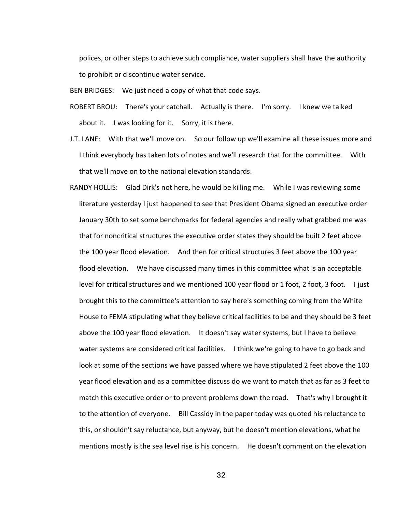polices, or other steps to achieve such compliance, water suppliers shall have the authority to prohibit or discontinue water service.

BEN BRIDGES: We just need a copy of what that code says.

- ROBERT BROU: There's your catchall. Actually is there. I'm sorry. I knew we talked about it. I was looking for it. Sorry, it is there.
- J.T. LANE: With that we'll move on. So our follow up we'll examine all these issues more and I think everybody has taken lots of notes and we'll research that for the committee. With that we'll move on to the national elevation standards.
- RANDY HOLLIS: Glad Dirk's not here, he would be killing me. While I was reviewing some literature yesterday I just happened to see that President Obama signed an executive order January 30th to set some benchmarks for federal agencies and really what grabbed me was that for noncritical structures the executive order states they should be built 2 feet above the 100 year flood elevation. And then for critical structures 3 feet above the 100 year flood elevation. We have discussed many times in this committee what is an acceptable level for critical structures and we mentioned 100 year flood or 1 foot, 2 foot, 3 foot. I just brought this to the committee's attention to say here's something coming from the White House to FEMA stipulating what they believe critical facilities to be and they should be 3 feet above the 100 year flood elevation. It doesn't say water systems, but I have to believe water systems are considered critical facilities. I think we're going to have to go back and look at some of the sections we have passed where we have stipulated 2 feet above the 100 year flood elevation and as a committee discuss do we want to match that as far as 3 feet to match this executive order or to prevent problems down the road. That's why I brought it to the attention of everyone. Bill Cassidy in the paper today was quoted his reluctance to this, or shouldn't say reluctance, but anyway, but he doesn't mention elevations, what he mentions mostly is the sea level rise is his concern. He doesn't comment on the elevation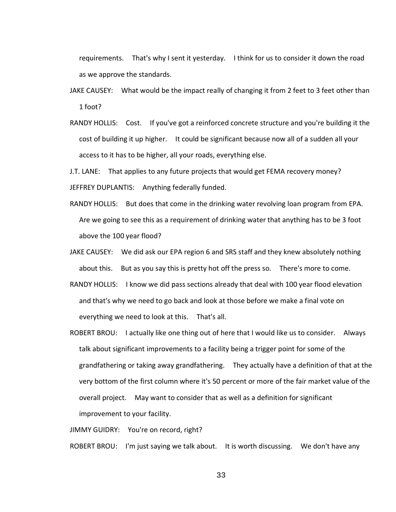requirements. That's why I sent it yesterday. I think for us to consider it down the road as we approve the standards.

- JAKE CAUSEY: What would be the impact really of changing it from 2 feet to 3 feet other than 1 foot?
- RANDY HOLLIS: Cost. If you've got a reinforced concrete structure and you're building it the cost of building it up higher. It could be significant because now all of a sudden all your access to it has to be higher, all your roads, everything else.

J.T. LANE: That applies to any future projects that would get FEMA recovery money? JEFFREY DUPLANTIS: Anything federally funded.

- RANDY HOLLIS: But does that come in the drinking water revolving loan program from EPA. Are we going to see this as a requirement of drinking water that anything has to be 3 foot above the 100 year flood?
- JAKE CAUSEY: We did ask our EPA region 6 and SRS staff and they knew absolutely nothing about this. But as you say this is pretty hot off the press so. There's more to come.
- RANDY HOLLIS: I know we did pass sections already that deal with 100 year flood elevation and that's why we need to go back and look at those before we make a final vote on everything we need to look at this. That's all.
- ROBERT BROU: I actually like one thing out of here that I would like us to consider. Always talk about significant improvements to a facility being a trigger point for some of the grandfathering or taking away grandfathering. They actually have a definition of that at the very bottom of the first column where it's 50 percent or more of the fair market value of the overall project. May want to consider that as well as a definition for significant improvement to your facility.

JIMMY GUIDRY: You're on record, right?

ROBERT BROU: I'm just saying we talk about. It is worth discussing. We don't have any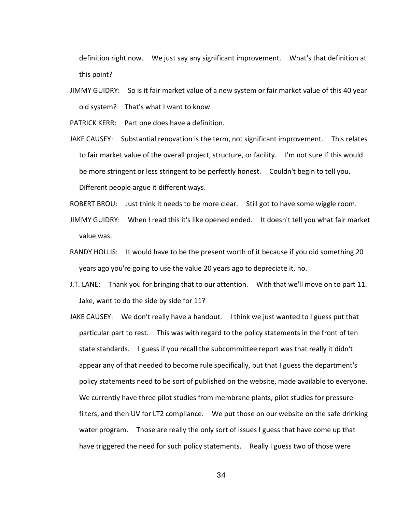definition right now. We just say any significant improvement. What's that definition at this point?

JIMMY GUIDRY: So is it fair market value of a new system or fair market value of this 40 year old system? That's what I want to know.

PATRICK KERR: Part one does have a definition.

- JAKE CAUSEY: Substantial renovation is the term, not significant improvement. This relates to fair market value of the overall project, structure, or facility. I'm not sure if this would be more stringent or less stringent to be perfectly honest. Couldn't begin to tell you. Different people argue it different ways.
- ROBERT BROU: Just think it needs to be more clear. Still got to have some wiggle room.
- JIMMY GUIDRY: When I read this it's like opened ended. It doesn't tell you what fair market value was.
- RANDY HOLLIS: It would have to be the present worth of it because if you did something 20 years ago you're going to use the value 20 years ago to depreciate it, no.
- J.T. LANE: Thank you for bringing that to our attention. With that we'll move on to part 11. Jake, want to do the side by side for 11?
- JAKE CAUSEY: We don't really have a handout. I think we just wanted to I guess put that particular part to rest. This was with regard to the policy statements in the front of ten state standards. I guess if you recall the subcommittee report was that really it didn't appear any of that needed to become rule specifically, but that I guess the department's policy statements need to be sort of published on the website, made available to everyone. We currently have three pilot studies from membrane plants, pilot studies for pressure filters, and then UV for LT2 compliance. We put those on our website on the safe drinking water program. Those are really the only sort of issues I guess that have come up that have triggered the need for such policy statements. Really I guess two of those were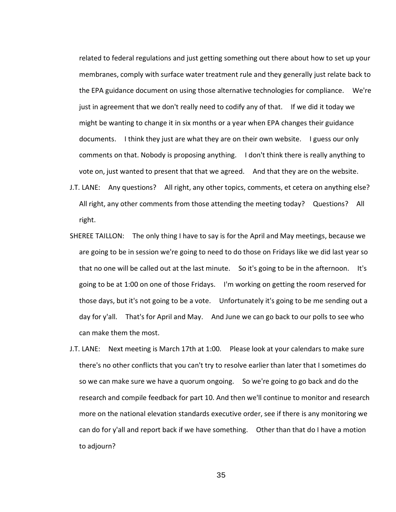related to federal regulations and just getting something out there about how to set up your membranes, comply with surface water treatment rule and they generally just relate back to the EPA guidance document on using those alternative technologies for compliance. We're just in agreement that we don't really need to codify any of that. If we did it today we might be wanting to change it in six months or a year when EPA changes their guidance documents. I think they just are what they are on their own website. I guess our only comments on that. Nobody is proposing anything. I don't think there is really anything to vote on, just wanted to present that that we agreed. And that they are on the website.

- J.T. LANE: Any questions? All right, any other topics, comments, et cetera on anything else? All right, any other comments from those attending the meeting today? Questions? All right.
- SHEREE TAILLON: The only thing I have to say is for the April and May meetings, because we are going to be in session we're going to need to do those on Fridays like we did last year so that no one will be called out at the last minute. So it's going to be in the afternoon. It's going to be at 1:00 on one of those Fridays. I'm working on getting the room reserved for those days, but it's not going to be a vote. Unfortunately it's going to be me sending out a day for y'all. That's for April and May. And June we can go back to our polls to see who can make them the most.
- J.T. LANE: Next meeting is March 17th at 1:00. Please look at your calendars to make sure there's no other conflicts that you can't try to resolve earlier than later that I sometimes do so we can make sure we have a quorum ongoing. So we're going to go back and do the research and compile feedback for part 10. And then we'll continue to monitor and research more on the national elevation standards executive order, see if there is any monitoring we can do for y'all and report back if we have something. Other than that do I have a motion to adjourn?